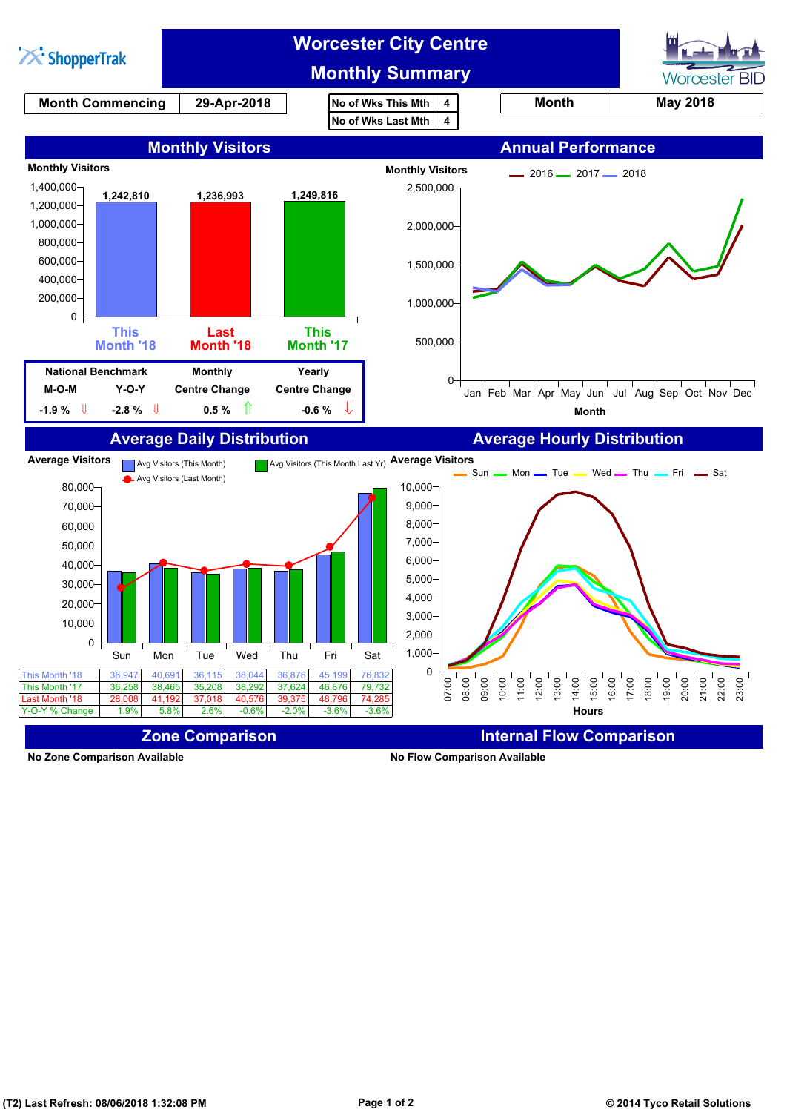

**No Zone Comparison Available No Flow Comparison Available**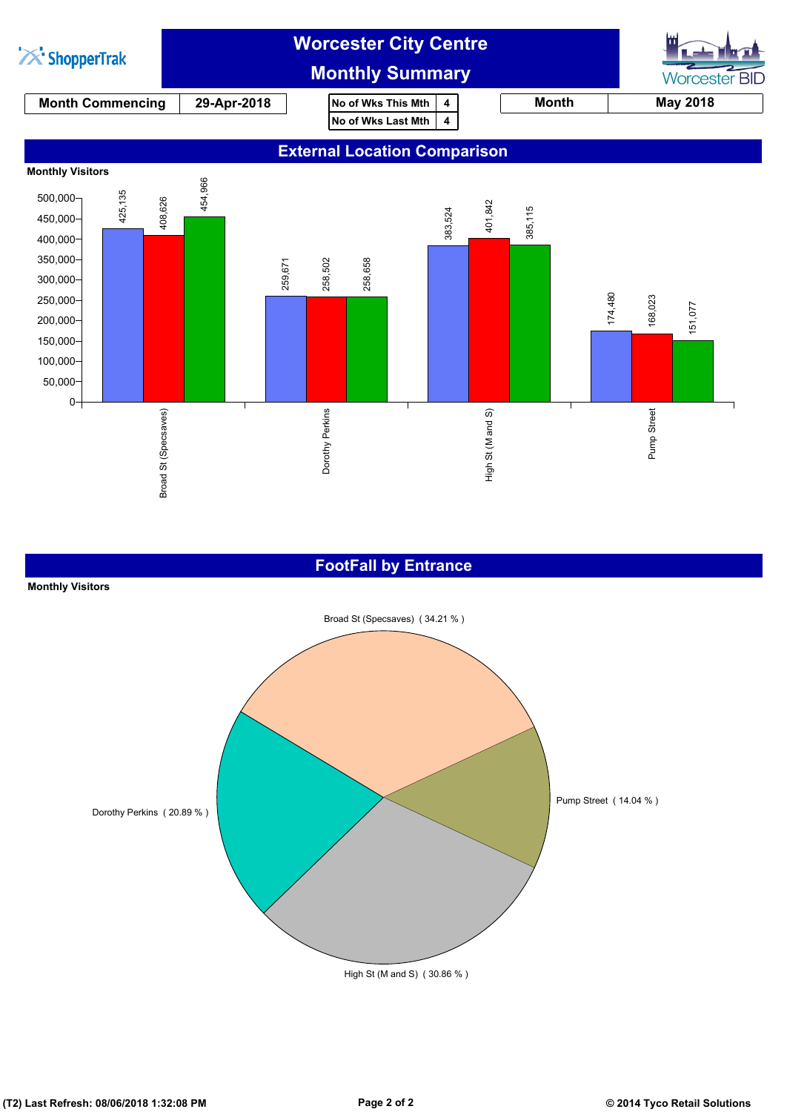

## **FootFall by Entrance**